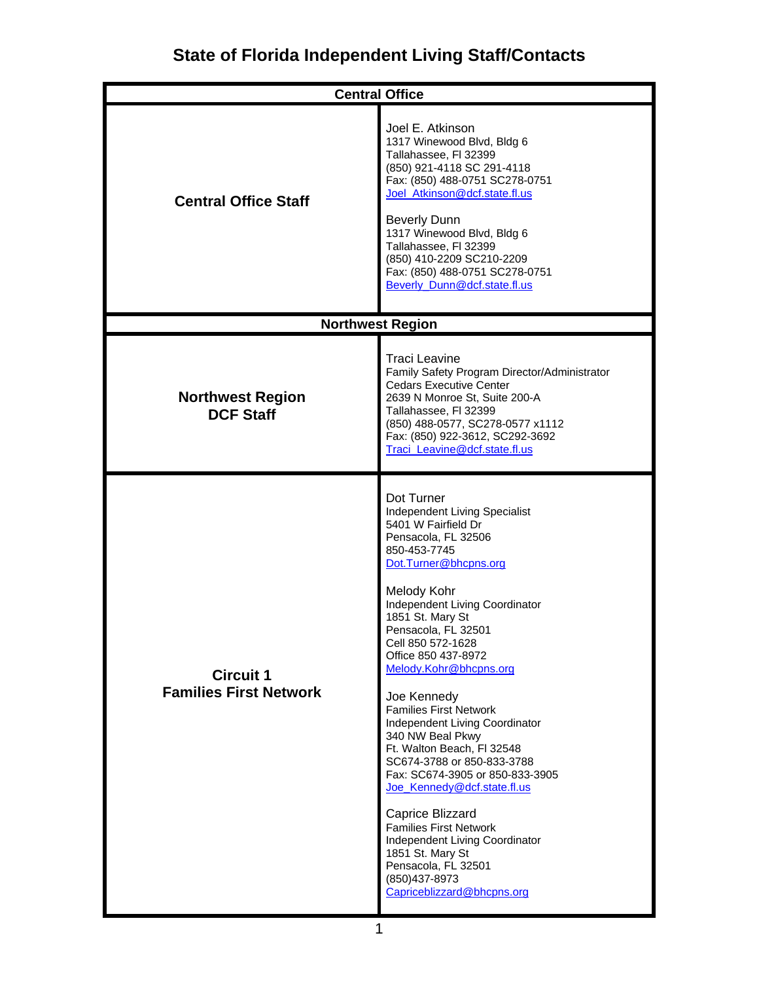| <b>Central Office</b>                             |                                                                                                                                                                                                                                                                                                                                                                                                                                                                                                                                                                                                                                                                                                                            |
|---------------------------------------------------|----------------------------------------------------------------------------------------------------------------------------------------------------------------------------------------------------------------------------------------------------------------------------------------------------------------------------------------------------------------------------------------------------------------------------------------------------------------------------------------------------------------------------------------------------------------------------------------------------------------------------------------------------------------------------------------------------------------------------|
| <b>Central Office Staff</b>                       | Joel E. Atkinson<br>1317 Winewood Blvd, Bldg 6<br>Tallahassee, FI 32399<br>(850) 921-4118 SC 291-4118<br>Fax: (850) 488-0751 SC278-0751<br>Joel_Atkinson@dcf.state.fl.us<br><b>Beverly Dunn</b><br>1317 Winewood Blvd, Bldg 6<br>Tallahassee, FI 32399<br>(850) 410-2209 SC210-2209<br>Fax: (850) 488-0751 SC278-0751<br>Beverly_Dunn@dcf.state.fl.us                                                                                                                                                                                                                                                                                                                                                                      |
|                                                   | <b>Northwest Region</b>                                                                                                                                                                                                                                                                                                                                                                                                                                                                                                                                                                                                                                                                                                    |
| <b>Northwest Region</b><br><b>DCF Staff</b>       | <b>Traci Leavine</b><br>Family Safety Program Director/Administrator<br><b>Cedars Executive Center</b><br>2639 N Monroe St, Suite 200-A<br>Tallahassee, FI 32399<br>(850) 488-0577, SC278-0577 x1112<br>Fax: (850) 922-3612, SC292-3692<br>Traci Leavine@dcf.state.fl.us                                                                                                                                                                                                                                                                                                                                                                                                                                                   |
| <b>Circuit 1</b><br><b>Families First Network</b> | Dot Turner<br>Independent Living Specialist<br>5401 W Fairfield Dr<br>Pensacola, FL 32506<br>850-453-7745<br>Dot.Turner@bhcpns.org<br>Melody Kohr<br>Independent Living Coordinator<br>1851 St. Mary St<br>Pensacola, FL 32501<br>Cell 850 572-1628<br>Office 850 437-8972<br>Melody.Kohr@bhcpns.org<br>Joe Kennedy<br><b>Families First Network</b><br>Independent Living Coordinator<br>340 NW Beal Pkwy<br>Ft. Walton Beach, FI 32548<br>SC674-3788 or 850-833-3788<br>Fax: SC674-3905 or 850-833-3905<br>Joe_Kennedy@dcf.state.fl.us<br>Caprice Blizzard<br><b>Families First Network</b><br>Independent Living Coordinator<br>1851 St. Mary St<br>Pensacola, FL 32501<br>(850) 437-8973<br>Capriceblizzard@bhcpns.org |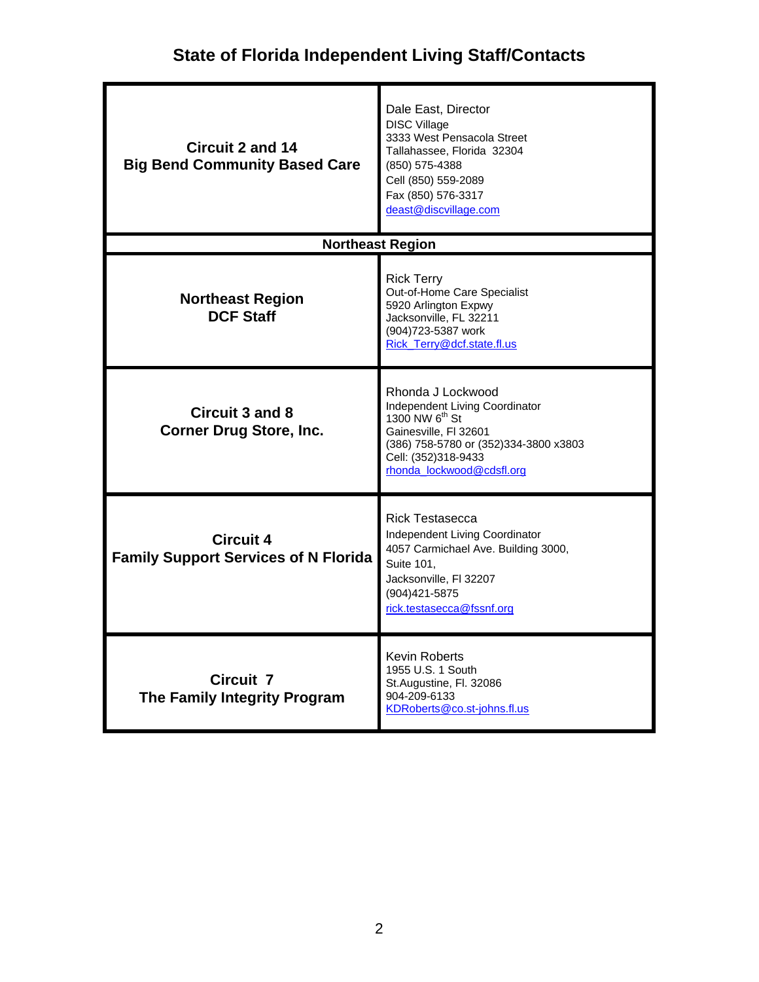| <b>Circuit 2 and 14</b><br><b>Big Bend Community Based Care</b> | Dale East, Director<br><b>DISC Village</b><br>3333 West Pensacola Street<br>Tallahassee, Florida 32304<br>(850) 575-4388<br>Cell (850) 559-2089<br>Fax (850) 576-3317<br>deast@discvillage.com           |  |
|-----------------------------------------------------------------|----------------------------------------------------------------------------------------------------------------------------------------------------------------------------------------------------------|--|
|                                                                 | <b>Northeast Region</b>                                                                                                                                                                                  |  |
| <b>Northeast Region</b><br><b>DCF Staff</b>                     | <b>Rick Terry</b><br>Out-of-Home Care Specialist<br>5920 Arlington Expwy<br>Jacksonville, FL 32211<br>(904) 723-5387 work<br>Rick Terry@dcf.state.fl.us                                                  |  |
| <b>Circuit 3 and 8</b><br><b>Corner Drug Store, Inc.</b>        | Rhonda J Lockwood<br>Independent Living Coordinator<br>1300 NW 6 <sup>th</sup> St<br>Gainesville, FI 32601<br>(386) 758-5780 or (352) 334-3800 x3803<br>Cell: (352)318-9433<br>rhonda_lockwood@cdsfl.org |  |
| <b>Circuit 4</b><br><b>Family Support Services of N Florida</b> | <b>Rick Testasecca</b><br>Independent Living Coordinator<br>4057 Carmichael Ave. Building 3000,<br>Suite 101,<br>Jacksonville, FI 32207<br>(904) 421-5875<br>rick.testasecca@fssnf.org                   |  |
| <b>Circuit 7</b><br>The Family Integrity Program                | <b>Kevin Roberts</b><br>1955 U.S. 1 South<br>St.Augustine, Fl. 32086<br>904-209-6133<br>KDRoberts@co.st-johns.fl.us                                                                                      |  |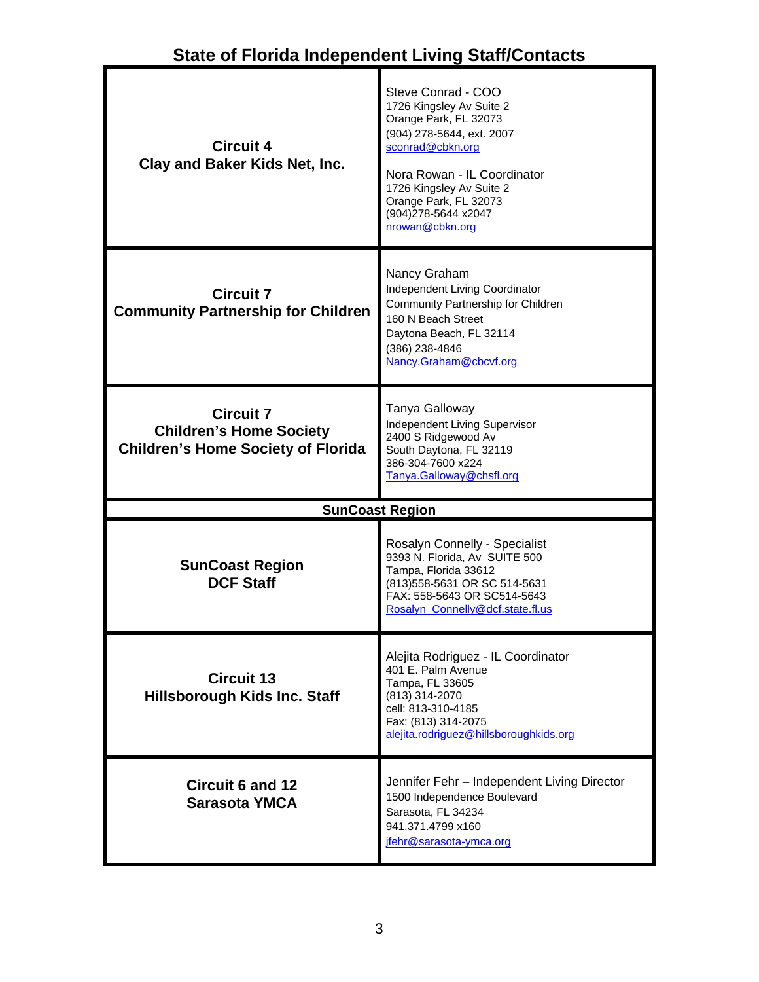| <b>Circuit 4</b><br>Clay and Baker Kids Net, Inc.                                               | Steve Conrad - COO<br>1726 Kingsley Av Suite 2<br>Orange Park, FL 32073<br>(904) 278-5644, ext. 2007<br>sconrad@cbkn.org<br>Nora Rowan - IL Coordinator<br>1726 Kingsley Av Suite 2<br>Orange Park, FL 32073<br>(904) 278-5644 x 2047<br>nrowan@cbkn.org |
|-------------------------------------------------------------------------------------------------|----------------------------------------------------------------------------------------------------------------------------------------------------------------------------------------------------------------------------------------------------------|
| <b>Circuit 7</b><br><b>Community Partnership for Children</b>                                   | Nancy Graham<br>Independent Living Coordinator<br>Community Partnership for Children<br>160 N Beach Street<br>Daytona Beach, FL 32114<br>(386) 238-4846<br>Nancy.Graham@cbcvf.org                                                                        |
| <b>Circuit 7</b><br><b>Children's Home Society</b><br><b>Children's Home Society of Florida</b> | Tanya Galloway<br>Independent Living Supervisor<br>2400 S Ridgewood Av<br>South Daytona, FL 32119<br>386-304-7600 x224<br>Tanya.Galloway@chsfl.org                                                                                                       |
|                                                                                                 | <b>SunCoast Region</b>                                                                                                                                                                                                                                   |
| <b>SunCoast Region</b><br><b>DCF Staff</b>                                                      | Rosalyn Connelly - Specialist<br>9393 N. Florida, Av SUITE 500<br>Tampa, Florida 33612<br>(813) 558-5631 OR SC 514-5631<br>FAX: 558-5643 OR SC514-5643<br>Rosalyn_Connelly@dcf.state.fl.us                                                               |
| <b>Circuit 13</b><br><b>Hillsborough Kids Inc. Staff</b>                                        | Alejita Rodriguez - IL Coordinator<br>401 E. Palm Avenue<br>Tampa, FL 33605<br>(813) 314-2070<br>cell: 813-310-4185<br>Fax: (813) 314-2075<br>alejita.rodriguez@hillsboroughkids.org                                                                     |
| <b>Circuit 6 and 12</b><br><b>Sarasota YMCA</b>                                                 | Jennifer Fehr - Independent Living Director<br>1500 Independence Boulevard<br>Sarasota, FL 34234<br>941.371.4799 x160                                                                                                                                    |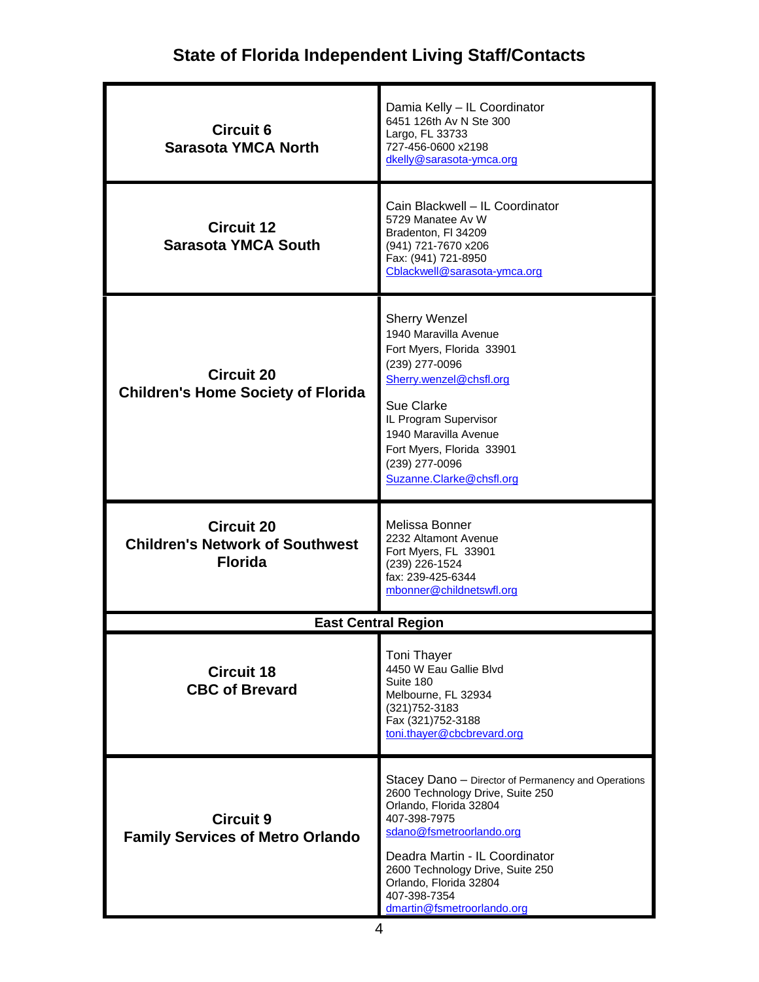| <b>Circuit 6</b><br><b>Sarasota YMCA North</b>                                | Damia Kelly - IL Coordinator<br>6451 126th Av N Ste 300<br>Largo, FL 33733<br>727-456-0600 x2198<br>dkelly@sarasota-ymca.org                                                                                                                                                                                |
|-------------------------------------------------------------------------------|-------------------------------------------------------------------------------------------------------------------------------------------------------------------------------------------------------------------------------------------------------------------------------------------------------------|
| <b>Circuit 12</b><br><b>Sarasota YMCA South</b>                               | Cain Blackwell - IL Coordinator<br>5729 Manatee Av W<br>Bradenton, FI 34209<br>(941) 721-7670 x206<br>Fax: (941) 721-8950<br>Cblackwell@sarasota-ymca.org                                                                                                                                                   |
| <b>Circuit 20</b><br><b>Children's Home Society of Florida</b>                | <b>Sherry Wenzel</b><br>1940 Maravilla Avenue<br>Fort Myers, Florida 33901<br>(239) 277-0096<br>Sherry.wenzel@chsfl.org<br>Sue Clarke<br>IL Program Supervisor<br>1940 Maravilla Avenue<br>Fort Myers, Florida 33901<br>(239) 277-0096<br>Suzanne.Clarke@chsfl.org                                          |
| <b>Circuit 20</b><br><b>Children's Network of Southwest</b><br><b>Florida</b> | Melissa Bonner<br>2232 Altamont Avenue<br>Fort Myers, FL 33901<br>(239) 226-1524<br>fax: 239-425-6344<br>mbonner@childnetswfl.org                                                                                                                                                                           |
|                                                                               | <b>East Central Region</b>                                                                                                                                                                                                                                                                                  |
| <b>Circuit 18</b><br><b>CBC of Brevard</b>                                    | <b>Toni Thayer</b><br>4450 W Eau Gallie Blvd<br>Suite 180<br>Melbourne, FL 32934<br>(321) 752-3183<br>Fax (321) 752-3188<br>toni.thayer@cbcbrevard.org                                                                                                                                                      |
| <b>Circuit 9</b><br><b>Family Services of Metro Orlando</b>                   | Stacey Dano - Director of Permanency and Operations<br>2600 Technology Drive, Suite 250<br>Orlando, Florida 32804<br>407-398-7975<br>sdano@fsmetroorlando.org<br>Deadra Martin - IL Coordinator<br>2600 Technology Drive, Suite 250<br>Orlando, Florida 32804<br>407-398-7354<br>dmartin@fsmetroorlando.org |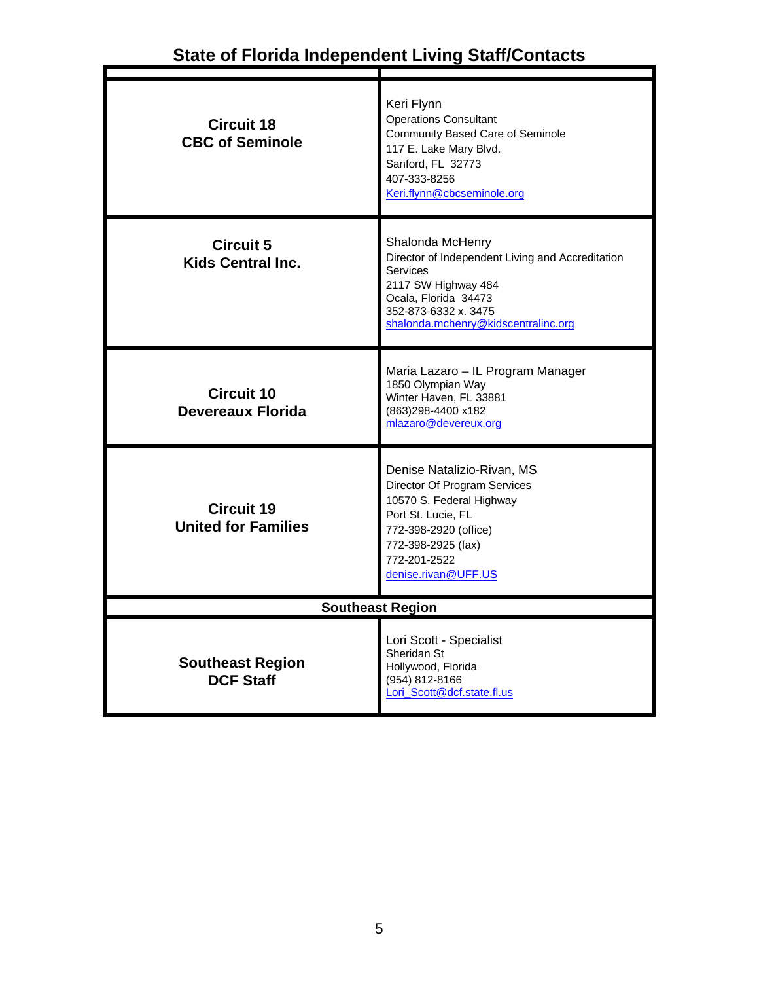| <b>Circuit 18</b><br><b>CBC of Seminole</b>     | Keri Flynn<br><b>Operations Consultant</b><br>Community Based Care of Seminole<br>117 E. Lake Mary Blvd.<br>Sanford, FL 32773<br>407-333-8256<br>Keri.flynn@cbcseminole.org                        |
|-------------------------------------------------|----------------------------------------------------------------------------------------------------------------------------------------------------------------------------------------------------|
| <b>Circuit 5</b><br><b>Kids Central Inc.</b>    | Shalonda McHenry<br>Director of Independent Living and Accreditation<br>Services<br>2117 SW Highway 484<br>Ocala, Florida 34473<br>352-873-6332 x. 3475<br>shalonda.mchenry@kidscentralinc.org     |
| <b>Circuit 10</b><br>Devereaux Florida          | Maria Lazaro - IL Program Manager<br>1850 Olympian Way<br>Winter Haven, FL 33881<br>(863)298-4400 x182<br>mlazaro@devereux.org                                                                     |
| <b>Circuit 19</b><br><b>United for Families</b> | Denise Natalizio-Rivan, MS<br>Director Of Program Services<br>10570 S. Federal Highway<br>Port St. Lucie, FL<br>772-398-2920 (office)<br>772-398-2925 (fax)<br>772-201-2522<br>denise.rivan@UFF.US |
| <b>Southeast Region</b>                         |                                                                                                                                                                                                    |
| <b>Southeast Region</b><br><b>DCF Staff</b>     | Lori Scott - Specialist<br>Sheridan St<br>Hollywood, Florida<br>(954) 812-8166<br>Lori_Scott@dcf.state.fl.us                                                                                       |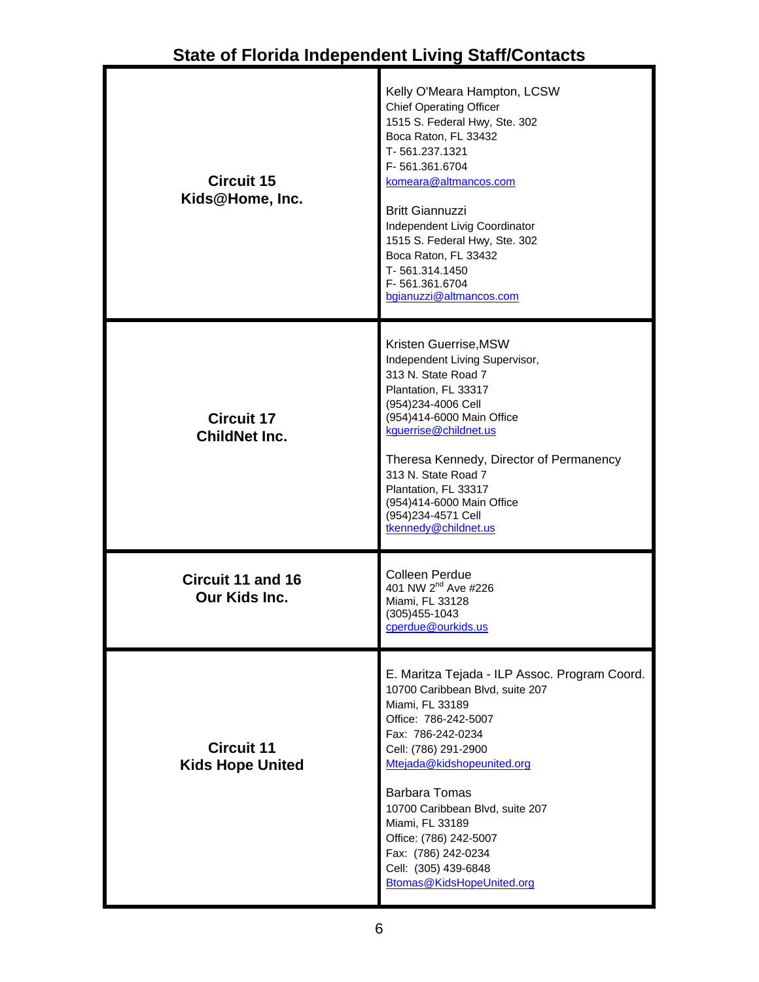| <b>Circuit 15</b><br>Kids@Home, Inc.         | Kelly O'Meara Hampton, LCSW<br><b>Chief Operating Officer</b><br>1515 S. Federal Hwy, Ste. 302<br>Boca Raton, FL 33432<br>T-561.237.1321<br>F-561.361.6704<br>komeara@altmancos.com<br><b>Britt Giannuzzi</b><br>Independent Livig Coordinator<br>1515 S. Federal Hwy, Ste. 302<br>Boca Raton, FL 33432<br>T-561.314.1450<br>F-561.361.6704<br>bgianuzzi@altmancos.com |
|----------------------------------------------|------------------------------------------------------------------------------------------------------------------------------------------------------------------------------------------------------------------------------------------------------------------------------------------------------------------------------------------------------------------------|
| <b>Circuit 17</b><br><b>ChildNet Inc.</b>    | Kristen Guerrise, MSW<br>Independent Living Supervisor,<br>313 N. State Road 7<br>Plantation, FL 33317<br>(954) 234-4006 Cell<br>(954)414-6000 Main Office<br>kguerrise@childnet.us<br>Theresa Kennedy, Director of Permanency<br>313 N. State Road 7<br>Plantation, FL 33317<br>(954)414-6000 Main Office<br>(954) 234-4571 Cell<br>tkennedy@childnet.us              |
| <b>Circuit 11 and 16</b><br>Our Kids Inc.    | Colleen Perdue<br>401 NW 2 <sup>nd</sup> Ave #226<br>Miami, FL 33128<br>(305)455-1043<br><u>cperdue@ourkids.us</u>                                                                                                                                                                                                                                                     |
| <b>Circuit 11</b><br><b>Kids Hope United</b> | E. Maritza Tejada - ILP Assoc. Program Coord.<br>10700 Caribbean Blvd, suite 207<br>Miami, FL 33189<br>Office: 786-242-5007<br>Fax: 786-242-0234<br>Cell: (786) 291-2900<br>Mtejada@kidshopeunited.org<br><b>Barbara Tomas</b><br>10700 Caribbean Blvd, suite 207<br>Miami, FL 33189<br>Office: (786) 242-5007<br>Fax: (786) 242-0234<br>Cell: (305) 439-6848          |

[Btomas@KidsHopeUnited.org](mailto:Btomas@KidsHopeUnited.org)